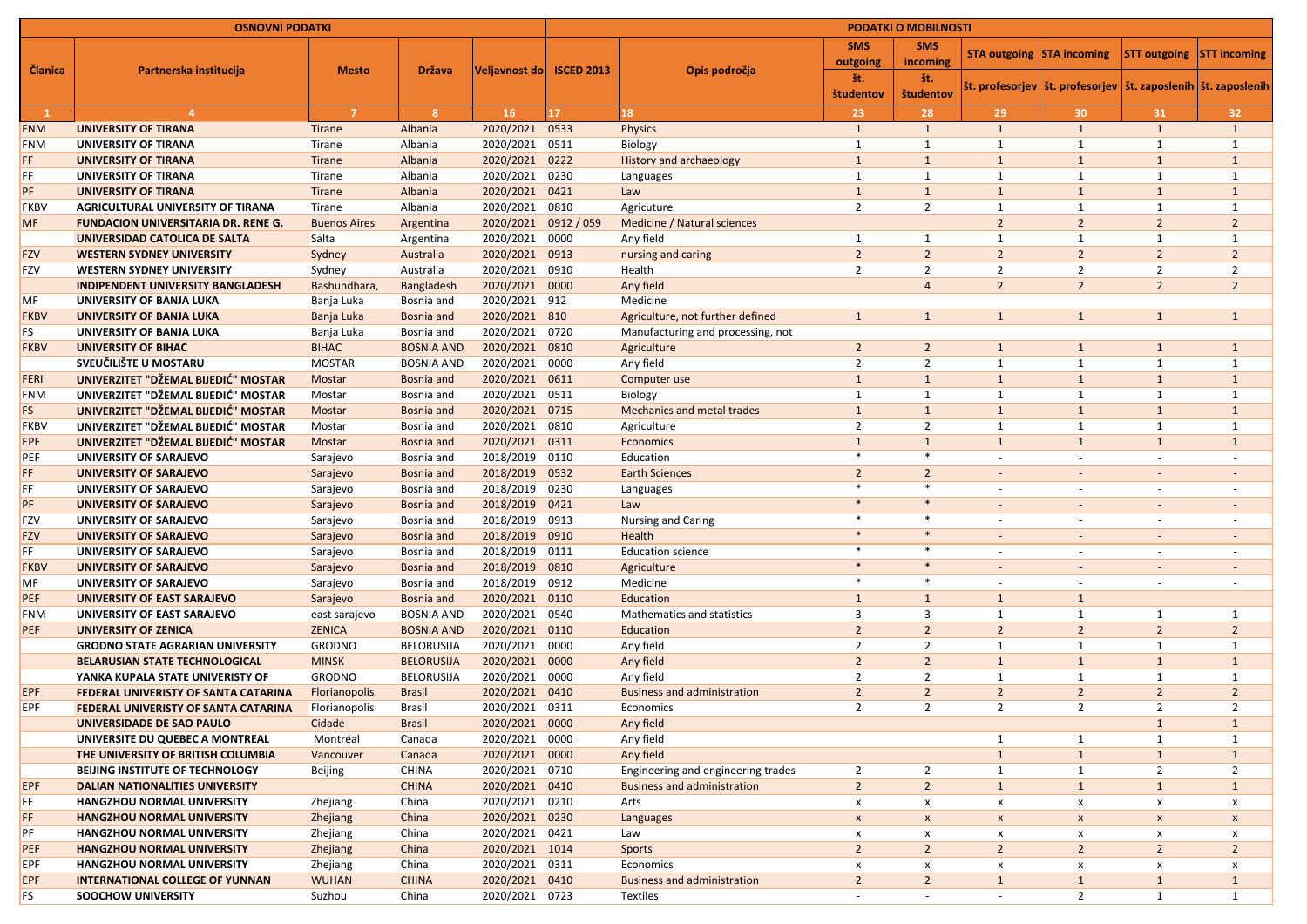| <b>OSNOVNI PODATKI</b> |                                                                             |                          |                       |                             | <b>PODATKI O MOBILNOSTI</b> |                                                 |                          |                  |                                  |                                                                    |                          |                          |
|------------------------|-----------------------------------------------------------------------------|--------------------------|-----------------------|-----------------------------|-----------------------------|-------------------------------------------------|--------------------------|------------------|----------------------------------|--------------------------------------------------------------------|--------------------------|--------------------------|
| <b>Članica</b>         | Partnerska institucija                                                      | <b>Mesto</b>             | <b>Država</b>         | Veljavnost do  ISCED 2013   |                             |                                                 | <b>SMS</b>               | <b>SMS</b>       | <b>STA outgoing STA incoming</b> |                                                                    | <b>STT outgoing</b>      | <b>STT incoming</b>      |
|                        |                                                                             |                          |                       |                             |                             | Opis področja                                   | outgoing                 | incoming         |                                  |                                                                    |                          |                          |
|                        |                                                                             |                          |                       |                             |                             |                                                 | št.<br>študentov         | št.<br>študentov |                                  | št. profesorjev  št. profesorjev   št. zaposlenih   št. zaposlenih |                          |                          |
|                        |                                                                             | -7                       | $\mathbf{8}$          | 16                          | 17 <sub>2</sub>             | 18                                              | 23                       | 28               | 29                               | 30                                                                 | 31                       | 32                       |
| <b>FNM</b>             | <b>UNIVERSITY OF TIRANA</b>                                                 | <b>Tirane</b>            | Albania               | 2020/2021                   | 0533                        | <b>Physics</b>                                  | $\mathbf{1}$             | $\mathbf{1}$     | 1                                | 1                                                                  | $\mathbf{1}$             | $\mathbf{1}$             |
| <b>FNM</b>             | <b>UNIVERSITY OF TIRANA</b>                                                 | Tirane                   | Albania               | 2020/2021                   | 0511                        | Biology                                         |                          |                  |                                  | $\mathbf 1$                                                        |                          | $\mathbf{1}$             |
| FF.                    | <b>UNIVERSITY OF TIRANA</b>                                                 | <b>Tirane</b>            | Albania               | 2020/2021                   | 0222                        | <b>History and archaeology</b>                  |                          |                  | $\mathbf{1}$                     | $\mathbf{1}$                                                       |                          | $\mathbf{1}$             |
| FF                     | <b>UNIVERSITY OF TIRANA</b>                                                 | Tirane                   | Albania               | 2020/2021                   | 0230                        | Languages                                       |                          |                  |                                  | $\mathbf 1$                                                        |                          | -1                       |
| PF                     | <b>UNIVERSITY OF TIRANA</b>                                                 | <b>Tirane</b>            | Albania               | 2020/2021                   | 0421                        | Law                                             |                          |                  | $\mathbf{1}$                     | $\mathbf{1}$                                                       |                          | $\mathbf{1}$             |
| <b>FKBV</b>            | <b>AGRICULTURAL UNIVERSITY OF TIRANA</b>                                    | Tirane                   | Albania               | 2020/2021                   | 0810                        | Agricuture                                      | $\overline{2}$           | $\overline{2}$   | 1                                | $\mathbf{1}$                                                       |                          | -1                       |
| <b>MF</b>              | <b>FUNDACION UNIVERSITARIA DR. RENE G.</b>                                  | <b>Buenos Aires</b>      | Argentina             | 2020/2021                   | 0912 / 059                  | Medicine / Natural sciences                     |                          |                  | $\overline{2}$                   | $\overline{2}$                                                     | $\overline{2}$           | $\overline{2}$           |
|                        | UNIVERSIDAD CATOLICA DE SALTA                                               | Salta                    | Argentina             | 2020/2021                   | 0000                        | Any field                                       |                          |                  |                                  |                                                                    |                          |                          |
| <b>FZV</b>             | <b>WESTERN SYDNEY UNIVERSITY</b>                                            | Sydney                   | Australia             | 2020/2021                   | 0913                        | nursing and caring                              | $\overline{2}$           | $\overline{2}$   | $\overline{2}$                   | $\overline{2}$                                                     | $\overline{2}$           | $\overline{2}$           |
| <b>FZV</b>             | <b>WESTERN SYDNEY UNIVERSITY</b>                                            | Sydney                   | Australia             | 2020/2021                   | 0910                        | Health                                          | 2                        | $\overline{2}$   | $\overline{2}$                   | $\mathcal{P}$                                                      | $\overline{2}$           | $\overline{2}$           |
|                        | <b>INDIPENDENT UNIVERSITY BANGLADESH</b>                                    | Bashundhara,             | Bangladesh            | 2020/2021                   | 0000                        | Any field                                       |                          | $\overline{4}$   | $\overline{2}$                   | $\overline{2}$                                                     | $\overline{2}$           | $\overline{2}$           |
| MF                     | UNIVERSITY OF BANJA LUKA                                                    | Banja Luka               | Bosnia and            | 2020/2021 912               |                             | Medicine                                        |                          |                  |                                  |                                                                    |                          |                          |
| <b>FKBV</b>            | <b>UNIVERSITY OF BANJA LUKA</b>                                             | Banja Luka               | Bosnia and            | 2020/2021 810               |                             | Agriculture, not further defined                | $\mathbf{1}$             | $\mathbf{1}$     | $\mathbf{1}$                     | $\mathbf{1}$                                                       | $\mathbf{1}$             | $\mathbf{1}$             |
| FS.                    | UNIVERSITY OF BANJA LUKA                                                    | Banja Luka               | Bosnia and            | 2020/2021                   | 0720                        | Manufacturing and processing, not               |                          |                  |                                  |                                                                    |                          |                          |
| <b>FKBV</b>            | <b>UNIVERSITY OF BIHAC</b>                                                  | <b>BIHAC</b>             | <b>BOSNIA AND</b>     | 2020/2021                   | 0810                        | Agriculture                                     | $2^{\circ}$              | $\overline{2}$   | $\mathbf{1}$                     | $\mathbf{1}$                                                       |                          | $\mathbf{1}$             |
|                        | SVEUČILIŠTE U MOSTARU                                                       | <b>MOSTAR</b>            | <b>BOSNIA AND</b>     | 2020/2021                   | 0000                        | Any field                                       | $\overline{2}$           | $\overline{2}$   |                                  | $\mathbf{1}$                                                       |                          |                          |
| <b>FERI</b>            | UNIVERZITET "DŽEMAL BIJEDIĆ" MOSTAR                                         | Mostar                   | Bosnia and            | 2020/2021                   | 0611                        | Computer use                                    |                          | $\mathbf{1}$     | $\mathbf{1}$                     | $\mathbf{1}$                                                       | 1                        | $\mathbf{1}$             |
| <b>FNM</b>             | UNIVERZITET "DŽEMAL BIJEDIĆ" MOSTAR                                         | Mostar                   | Bosnia and            | 2020/2021                   | 0511                        | Biology                                         |                          |                  |                                  | $\mathbf 1$                                                        |                          | -1                       |
| <b>FS</b>              | UNIVERZITET "DŽEMAL BIJEDIĆ" MOSTAR                                         | Mostar                   | Bosnia and            | 2020/2021 0715              |                             | <b>Mechanics and metal trades</b>               |                          |                  | $\mathbf{1}$                     | $\mathbf{1}$                                                       |                          | $\mathbf{1}$             |
| <b>FKBV</b>            | UNIVERZITET "DŽEMAL BIJEDIĆ" MOSTAR                                         | Mostar                   | Bosnia and            | 2020/2021                   | 0810                        | Agriculture                                     | $\overline{2}$           | $\overline{2}$   | 1                                | 1                                                                  | 1                        | -1                       |
| <b>EPF</b>             | <b>UNIVERZITET "DŽEMAL BIJEDIĆ" MOSTAR</b>                                  | Mostar                   | Bosnia and            | 2020/2021                   | 0311                        | Economics                                       |                          |                  | $\mathbf{1}$                     | $\mathbf{1}$                                                       | 1                        | $\mathbf{1}$             |
| PEF                    | <b>UNIVERSITY OF SARAJEVO</b>                                               | Sarajevo                 | Bosnia and            | 2018/2019                   | 0110                        | Education                                       | $\ast$                   | $\ast$           | $\overline{\phantom{a}}$         |                                                                    |                          |                          |
| FF.                    | <b>UNIVERSITY OF SARAJEVO</b>                                               | Sarajevo                 | <b>Bosnia</b> and     | 2018/2019                   | 0532                        | <b>Earth Sciences</b>                           | $\overline{2}$           | $\overline{2}$   | $\overline{\phantom{a}}$         | $\sim$                                                             |                          | $\overline{\phantom{a}}$ |
| FF.                    | <b>UNIVERSITY OF SARAJEVO</b>                                               | Sarajevo                 | Bosnia and            | 2018/2019                   | 0230                        | Languages                                       | $\ast$                   | $\ast$           |                                  |                                                                    |                          |                          |
| <b>PF</b>              | <b>UNIVERSITY OF SARAJEVO</b>                                               | Sarajevo                 | Bosnia and            | 2018/2019                   | 0421                        | Law                                             | $\ast$                   | $\ast$           |                                  |                                                                    |                          |                          |
| <b>FZV</b>             | UNIVERSITY OF SARAJEVO                                                      | Sarajevo                 | Bosnia and            | 2018/2019 0913              |                             | <b>Nursing and Caring</b>                       | $\ast$                   | $\ast$           |                                  |                                                                    |                          |                          |
| <b>FZV</b>             | <b>UNIVERSITY OF SARAJEVO</b>                                               | Sarajevo                 | Bosnia and            | 2018/2019                   | 0910                        | Health                                          | $\ast$                   | $\ast$           | $\overline{\phantom{a}}$         | $\overline{\phantom{a}}$                                           |                          | $\overline{\phantom{a}}$ |
| FF.                    | UNIVERSITY OF SARAJEVO                                                      | Sarajevo                 | Bosnia and            | 2018/2019                   | 0111                        | <b>Education science</b>                        | $\ast$                   | $\ast$           | $\overline{\phantom{a}}$         | $\overline{\phantom{a}}$                                           | $\overline{\phantom{a}}$ | $\overline{\phantom{a}}$ |
| <b>FKBV</b>            | <b>UNIVERSITY OF SARAJEVO</b>                                               | Sarajevo                 | Bosnia and            | 2018/2019                   | 0810                        | Agriculture                                     | $\ast$                   | $\ast$           | $\overline{\phantom{a}}$         | $\sim$                                                             |                          | $\overline{\phantom{a}}$ |
| MF                     | UNIVERSITY OF SARAJEVO                                                      | Sarajevo                 | Bosnia and            | 2018/2019                   | 0912                        | Medicine                                        | $\ast$                   | $\ast$           |                                  | $\overline{\phantom{a}}$                                           |                          | $\overline{\phantom{a}}$ |
| <b>PEF</b>             | UNIVERSITY OF EAST SARAJEVO                                                 | Sarajevo                 | Bosnia and            | 2020/2021 0110              |                             | Education                                       |                          | $\mathbf{1}$     | $\mathbf{1}$                     | $\mathbf{1}$                                                       |                          |                          |
| <b>FNM</b>             | UNIVERSITY OF EAST SARAJEVO                                                 | east sarajevo            | <b>BOSNIA AND</b>     | 2020/2021 0540              |                             | <b>Mathematics and statistics</b>               | 3                        | 3                |                                  | $\mathbf{1}$                                                       |                          | $\mathbf{1}$             |
| <b>PEF</b>             | <b>UNIVERSITY OF ZENICA</b>                                                 | <b>ZENICA</b>            | <b>BOSNIA AND</b>     | 2020/2021 0110              |                             | Education                                       | $\overline{2}$           | $\overline{2}$   | $\overline{2}$                   | $\overline{2}$                                                     | $\overline{2}$           | $\overline{2}$           |
|                        | <b>GRODNO STATE AGRARIAN UNIVERSITY</b>                                     | <b>GRODNO</b>            | <b>BELORUSIJA</b>     | 2020/2021 0000              |                             | Any field                                       | $\overline{2}$           | $\overline{2}$   | -1                               | $\mathbf 1$                                                        |                          | $\mathbf{1}$             |
|                        | BELARUSIAN STATE TECHNOLOGICAL                                              | <b>MINSK</b>             | <b>BELORUSIJA</b>     | 2020/2021 0000              |                             | Any field                                       | 2 <sup>2</sup>           | $2^{\circ}$      | $\mathbf{1}$                     | $\mathbf{1}$                                                       | $\mathbf{1}$             | $\mathbf{1}$             |
|                        | YANKA KUPALA STATE UNIVERISTY OF                                            | <b>GRODNO</b>            | <b>BELORUSIJA</b>     | 2020/2021 0000              |                             | Any field                                       | $\overline{2}$           | $\overline{2}$   | -1                               | $\mathbf{1}$                                                       | 1                        | 1                        |
| <b>EPF</b>             | FEDERAL UNIVERISTY OF SANTA CATARINA                                        | Florianopolis            | <b>Brasil</b>         | 2020/2021                   | 0410                        | <b>Business and administration</b>              | $\overline{2}$           | $\overline{2}$   | $\overline{2}$                   | $\overline{2}$                                                     | $\overline{2}$           | $\overline{2}$           |
| <b>EPF</b>             | FEDERAL UNIVERISTY OF SANTA CATARINA                                        | Florianopolis            | <b>Brasil</b>         | 2020/2021 0311              |                             | Economics                                       | $\overline{2}$           | $\overline{2}$   | $\overline{2}$                   | $\overline{2}$                                                     | $\overline{2}$           | $\overline{2}$           |
|                        | UNIVERSIDADE DE SAO PAULO                                                   | Cidade                   | <b>Brasil</b>         | 2020/2021 0000              |                             | Any field                                       |                          |                  |                                  |                                                                    | 1                        | $\mathbf{1}$             |
|                        | UNIVERSITE DU QUEBEC A MONTREAL                                             | Montréal                 | Canada                | 2020/2021                   | 0000                        | Any field                                       |                          |                  |                                  | $\mathbf 1$                                                        | 1                        | $\mathbf 1$              |
|                        | THE UNIVERSITY OF BRITISH COLUMBIA                                          | Vancouver                | Canada                | 2020/2021                   | 0000                        | Any field                                       |                          |                  |                                  | $\mathbf{1}$                                                       |                          | $\mathbf{1}$             |
|                        | <b>BEIJING INSTITUTE OF TECHNOLOGY</b>                                      | <b>Beijing</b>           | <b>CHINA</b>          | 2020/2021 0710              |                             | Engineering and engineering trades              | $\overline{2}$           | $\overline{2}$   |                                  | -1                                                                 | $\overline{2}$           | $\overline{2}$           |
| <b>EPF</b>             | <b>DALIAN NATIONALITIES UNIVERSITY</b>                                      |                          | <b>CHINA</b>          | 2020/2021 0410              |                             | <b>Business and administration</b>              | 2 <sup>2</sup>           | $\overline{2}$   | $\mathbf{1}$                     | $\mathbf{1}$                                                       | $\mathbf{1}$             | $\mathbf{1}$             |
| FF.                    | <b>HANGZHOU NORMAL UNIVERSITY</b>                                           | Zhejiang                 | China                 | 2020/2021 0210              |                             | Arts                                            | X                        | X                | $\boldsymbol{\mathsf{x}}$        | x                                                                  | x                        | X                        |
| FF.                    | <b>HANGZHOU NORMAL UNIVERSITY</b>                                           | Zhejiang                 | China                 | 2020/2021                   | 0230                        | Languages                                       | X                        | $\mathsf{x}$     | $\boldsymbol{\mathsf{x}}$        | X                                                                  | X                        | X                        |
| PF                     | <b>HANGZHOU NORMAL UNIVERSITY</b>                                           | Zhejiang                 | China                 | 2020/2021 0421              |                             | Law                                             | X                        | X                | X                                | X                                                                  | X                        | X                        |
| <b>PEF</b>             | <b>HANGZHOU NORMAL UNIVERSITY</b>                                           | Zhejiang                 | China                 | 2020/2021 1014              |                             | Sports                                          | $\overline{2}$           | $2^{\circ}$      | $\overline{2}$                   | $\overline{2}$                                                     | $\overline{2}$           | $\overline{2}$           |
| EPF<br><b>EPF</b>      | <b>HANGZHOU NORMAL UNIVERSITY</b><br><b>INTERNATIONAL COLLEGE OF YUNNAN</b> | Zhejiang<br><b>WUHAN</b> | China<br><b>CHINA</b> | 2020/2021<br>2020/2021 0410 | 0311                        | Economics<br><b>Business and administration</b> | X<br>2 <sup>1</sup>      | X<br>$2^{\circ}$ | X<br>$\mathbf{1}$                | x<br>$\mathbf{1}$                                                  | x                        | x<br>$\mathbf{1}$        |
| FS                     | <b>SOOCHOW UNIVERSITY</b>                                                   | Suzhou                   | China                 | 2020/2021 0723              |                             | <b>Textiles</b>                                 | $\overline{\phantom{a}}$ |                  | $\overline{\phantom{a}}$         | $\overline{2}$                                                     | $\mathbf{1}$             | $\mathbf{1}$             |
|                        |                                                                             |                          |                       |                             |                             |                                                 |                          | $\sim$           |                                  |                                                                    |                          |                          |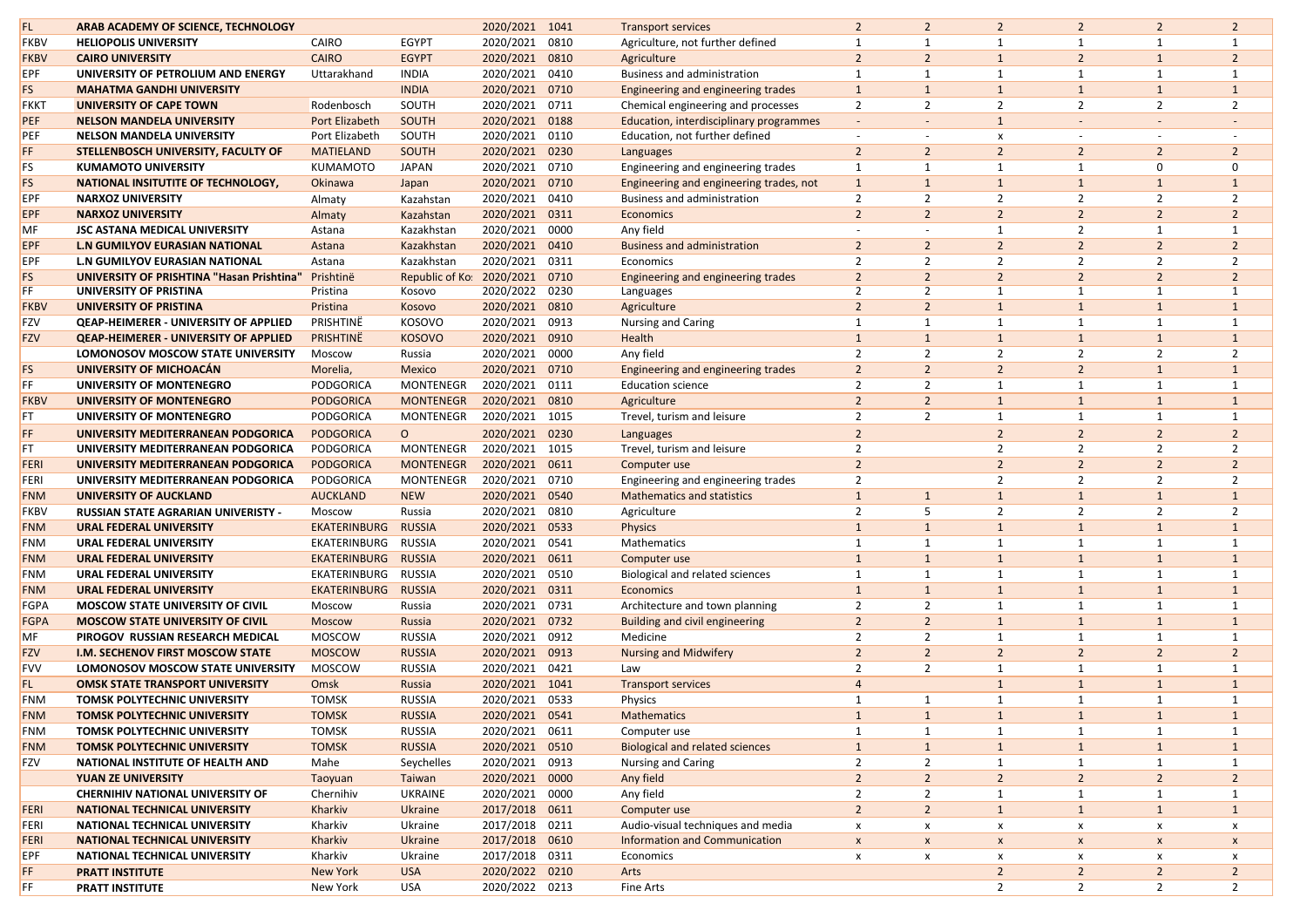|             |                                                  |                     |                  |                |      |                                         |                          | $\overline{2}$           |                    | $\overline{2}$ | $\overline{2}$           |                |
|-------------|--------------------------------------------------|---------------------|------------------|----------------|------|-----------------------------------------|--------------------------|--------------------------|--------------------|----------------|--------------------------|----------------|
| FL.         | ARAB ACADEMY OF SCIENCE, TECHNOLOGY              |                     |                  | 2020/2021 1041 |      | <b>Transport services</b>               | 2 <sup>2</sup>           |                          | $\overline{2}$     |                |                          | $\overline{2}$ |
| <b>FKBV</b> | <b>HELIOPOLIS UNIVERSITY</b>                     | CAIRO               | <b>EGYPT</b>     | 2020/2021      | 0810 | Agriculture, not further defined        |                          |                          | $\mathbf{1}$       | $\mathbf{1}$   |                          |                |
| <b>FKBV</b> | <b>CAIRO UNIVERSITY</b>                          | <b>CAIRO</b>        | <b>EGYPT</b>     | 2020/2021      | 0810 | Agriculture                             | $\overline{2}$           | $\overline{2}$           | $\mathbf{1}$       | $\overline{2}$ |                          | $\overline{2}$ |
| <b>EPF</b>  | UNIVERSITY OF PETROLIUM AND ENERGY               | Uttarakhand         | <b>INDIA</b>     | 2020/2021      | 0410 | <b>Business and administration</b>      |                          |                          | $\mathbf{1}$       | $\mathbf{1}$   |                          |                |
| <b>FS</b>   | <b>MAHATMA GANDHI UNIVERSITY</b>                 |                     | <b>INDIA</b>     | 2020/2021      | 0710 | Engineering and engineering trades      | $\mathbf{1}$             |                          | $\mathbf{1}$       | $\mathbf{1}$   |                          | $\mathbf{1}$   |
| <b>FKKT</b> | <b>UNIVERSITY OF CAPE TOWN</b>                   | Rodenbosch          | SOUTH            | 2020/2021      | 0711 | Chemical engineering and processes      | $\overline{2}$           | $\overline{2}$           | $\overline{2}$     | $\overline{2}$ | $\overline{2}$           | $\overline{2}$ |
| <b>PEF</b>  | <b>NELSON MANDELA UNIVERSITY</b>                 | Port Elizabeth      | SOUTH            | 2020/2021      | 0188 | Education, interdisciplinary programmes |                          |                          | $\mathbf{1}$       |                |                          |                |
| PEF         | <b>NELSON MANDELA UNIVERSITY</b>                 | Port Elizabeth      | SOUTH            | 2020/2021      | 0110 | Education, not further defined          | $\overline{\phantom{a}}$ | $\overline{\phantom{0}}$ | X                  |                | $\overline{\phantom{a}}$ |                |
| FF.         | STELLENBOSCH UNIVERSITY, FACULTY OF              | <b>MATIELAND</b>    | <b>SOUTH</b>     | 2020/2021      | 0230 | Languages                               | $\overline{2}$           | $\overline{2}$           | 2 <sup>2</sup>     | $\overline{2}$ | 2 <sup>1</sup>           | $\overline{2}$ |
| FS.         | <b>KUMAMOTO UNIVERSITY</b>                       | <b>KUMAMOTO</b>     | <b>JAPAN</b>     | 2020/2021      | 0710 | Engineering and engineering trades      |                          |                          | $\mathbf{1}$       |                | $\Omega$                 | 0              |
| FS          | <b>NATIONAL INSITUTITE OF TECHNOLOGY,</b>        | Okinawa             | Japan            | 2020/2021      | 0710 | Engineering and engineering trades, not |                          |                          |                    |                |                          |                |
| <b>EPF</b>  | <b>NARXOZ UNIVERSITY</b>                         | Almaty              | Kazahstan        | 2020/2021      | 0410 | <b>Business and administration</b>      | 2                        | $\overline{2}$           | $\overline{2}$     | $\overline{2}$ | $\overline{2}$           | $\overline{2}$ |
| EPF         | <b>NARXOZ UNIVERSITY</b>                         | Almaty              | Kazahstan        | 2020/2021      | 0311 | Economics                               | $\overline{2}$           | $\overline{2}$           | $\overline{2}$     | $\overline{2}$ | $\overline{2}$           | $\overline{2}$ |
| MF          | <b>JSC ASTANA MEDICAL UNIVERSITY</b>             | Astana              | Kazakhstan       | 2020/2021      | 0000 | Any field                               |                          |                          |                    | 2              |                          |                |
| <b>EPF</b>  | <b>L.N GUMILYOV EURASIAN NATIONAL</b>            | Astana              | Kazakhstan       | 2020/2021      | 0410 | <b>Business and administration</b>      | $\overline{2}$           | $\overline{2}$           | $\overline{2}$     | $\overline{2}$ |                          | $\overline{2}$ |
| <b>EPF</b>  | <b>L.N GUMILYOV EURASIAN NATIONAL</b>            | Astana              | Kazakhstan       | 2020/2021      | 0311 | Economics                               | $\overline{2}$           | $\overline{2}$           | $\overline{2}$     | $\overline{2}$ | $\overline{2}$           | $\overline{2}$ |
| <b>FS</b>   | <b>UNIVERSITY OF PRISHTINA "Hasan Prishtina"</b> | Prishtinë           | Republic of Ko:  | 2020/2021      | 0710 | Engineering and engineering trades      | $\overline{2}$           | $\overline{2}$           | $\overline{2}$     | $\overline{2}$ | $\overline{2}$           | $\overline{2}$ |
| FF.         | UNIVERSITY OF PRISTINA                           | Pristina            | Kosovo           | 2020/2022      | 0230 | Languages                               | 2                        | $\overline{2}$           |                    |                |                          |                |
| <b>FKBV</b> | <b>UNIVERSITY OF PRISTINA</b>                    | Pristina            | Kosovo           | 2020/2021      | 0810 | Agriculture                             | $\overline{2}$           | $\overline{2}$           | $\mathbf{1}$       | $\mathbf{1}$   |                          |                |
| <b>FZV</b>  | <b>QEAP-HEIMERER - UNIVERSITY OF APPLIED</b>     | PRISHTINË           | <b>KOSOVO</b>    | 2020/2021      | 0913 | <b>Nursing and Caring</b>               |                          |                          |                    |                |                          |                |
| <b>FZV</b>  | <b>QEAP-HEIMERER - UNIVERSITY OF APPLIED</b>     | PRISHTINË           | <b>KOSOVO</b>    | 2020/2021      | 0910 | Health                                  |                          |                          | $\mathbf{1}$       | $\mathbf{1}$   |                          |                |
|             | <b>LOMONOSOV MOSCOW STATE UNIVERSITY</b>         | Moscow              | Russia           | 2020/2021      | 0000 | Any field                               | $\overline{2}$           | $\overline{2}$           | $\overline{2}$     | 2              | $\overline{2}$           | 2              |
| <b>FS</b>   | UNIVERSITY OF MICHOACÁN                          | Morelia,            | <b>Mexico</b>    | 2020/2021      | 0710 | Engineering and engineering trades      | $\overline{2}$           | $\overline{2}$           | $\overline{2}$     | $\overline{2}$ |                          |                |
| FF.         | UNIVERSITY OF MONTENEGRO                         | PODGORICA           | <b>MONTENEGR</b> | 2020/2021      | 0111 | <b>Education science</b>                |                          | $\overline{2}$           |                    |                |                          |                |
| <b>FKBV</b> | <b>UNIVERSITY OF MONTENEGRO</b>                  | <b>PODGORICA</b>    | <b>MONTENEGR</b> | 2020/2021      | 0810 | Agriculture                             | $\overline{2}$           | $\overline{2}$           | $\mathbf{1}$       | $\mathbf{1}$   |                          |                |
| FT.         | UNIVERSITY OF MONTENEGRO                         | <b>PODGORICA</b>    | <b>MONTENEGR</b> | 2020/2021      | 1015 |                                         | $\overline{2}$           | 2                        | $\mathbf{1}$       | $\mathbf{1}$   |                          |                |
|             |                                                  |                     |                  |                |      | Trevel, turism and leisure              |                          |                          |                    |                |                          |                |
| FF.         | UNIVERSITY MEDITERRANEAN PODGORICA               | <b>PODGORICA</b>    | $\circ$          | 2020/2021      | 0230 | Languages                               |                          |                          | $\overline{2}$     | $\overline{2}$ | $\overline{2}$           | $\overline{2}$ |
| FT          | UNIVERSITY MEDITERRANEAN PODGORICA               | PODGORICA           | <b>MONTENEGR</b> | 2020/2021      | 1015 | Trevel, turism and leisure              | $\overline{2}$           |                          | $\overline{2}$     | $\overline{2}$ | $\overline{2}$           | $\overline{2}$ |
| <b>FERI</b> | UNIVERSITY MEDITERRANEAN PODGORICA               | <b>PODGORICA</b>    | <b>MONTENEGR</b> | 2020/2021      | 0611 | Computer use                            | $\overline{2}$           |                          | $\overline{2}$     | $\overline{2}$ | $\overline{2}$           | $\overline{2}$ |
| <b>FERI</b> | UNIVERSITY MEDITERRANEAN PODGORICA               | PODGORICA           | <b>MONTENEGR</b> | 2020/2021      | 0710 | Engineering and engineering trades      |                          |                          | 2                  | $\overline{2}$ | $\overline{2}$           | $\overline{2}$ |
| <b>FNM</b>  | <b>UNIVERSITY OF AUCKLAND</b>                    | <b>AUCKLAND</b>     | <b>NEW</b>       | 2020/2021 0540 |      | <b>Mathematics and statistics</b>       |                          |                          |                    | $\mathbf{1}$   |                          |                |
| <b>FKBV</b> | <b>RUSSIAN STATE AGRARIAN UNIVERISTY -</b>       | Moscow              | Russia           | 2020/2021 0810 |      | Agriculture                             |                          |                          |                    |                |                          |                |
| <b>FNM</b>  | <b>URAL FEDERAL UNIVERSITY</b>                   | <b>EKATERINBURG</b> | <b>RUSSIA</b>    | 2020/2021 0533 |      | <b>Physics</b>                          |                          |                          |                    |                |                          |                |
| <b>FNM</b>  | <b>URAL FEDERAL UNIVERSITY</b>                   | EKATERINBURG        | <b>RUSSIA</b>    | 2020/2021 0541 |      | Mathematics                             |                          |                          |                    |                |                          |                |
| <b>FNM</b>  | <b>URAL FEDERAL UNIVERSITY</b>                   | EKATERINBURG        | <b>RUSSIA</b>    | 2020/2021      | 0611 | Computer use                            |                          |                          |                    |                |                          | $\mathbf{1}$   |
| <b>FNM</b>  | <b>URAL FEDERAL UNIVERSITY</b>                   | EKATERINBURG        | <b>RUSSIA</b>    | 2020/2021      | 0510 | Biological and related sciences         |                          |                          |                    |                |                          |                |
| <b>FNM</b>  | <b>URAL FEDERAL UNIVERSITY</b>                   | <b>EKATERINBURG</b> | <b>RUSSIA</b>    | 2020/2021      | 0311 | Economics                               |                          |                          | $\mathbf{1}$       |                |                          | $\mathbf{1}$   |
| FGPA        | <b>MOSCOW STATE UNIVERSITY OF CIVIL</b>          | Moscow              | Russia           | 2020/2021      | 0731 | Architecture and town planning          | 2                        | $\overline{2}$           |                    |                |                          |                |
| <b>FGPA</b> | <b>MOSCOW STATE UNIVERSITY OF CIVIL</b>          | <b>Moscow</b>       | Russia           | 2020/2021      | 0732 | <b>Building and civil engineering</b>   | $\overline{2}$           | $\overline{2}$           | $\mathbf{1}$       | $\mathbf{1}$   |                          | $\mathbf{1}$   |
| MF          | PIROGOV RUSSIAN RESEARCH MEDICAL                 | <b>MOSCOW</b>       | <b>RUSSIA</b>    | 2020/2021      | 0912 | Medicine                                | 2                        | 2                        |                    |                |                          |                |
| <b>FZV</b>  | <b>I.M. SECHENOV FIRST MOSCOW STATE</b>          | <b>MOSCOW</b>       | <b>RUSSIA</b>    | 2020/2021      | 0913 | <b>Nursing and Midwifery</b>            | $\overline{2}$           | $\overline{2}$           | $\overline{2}$     | $\overline{2}$ | $\overline{2}$           | $\overline{2}$ |
| <b>FVV</b>  | <b>LOMONOSOV MOSCOW STATE UNIVERSITY</b>         | <b>MOSCOW</b>       | <b>RUSSIA</b>    | 2020/2021 0421 |      | Law                                     | 2                        | $\overline{2}$           |                    |                |                          |                |
| FL.         | <b>OMSK STATE TRANSPORT UNIVERSITY</b>           | Omsk                | Russia           | 2020/2021      | 1041 | <b>Transport services</b>               |                          |                          |                    |                |                          | $\mathbf{1}$   |
| <b>FNM</b>  | <b>TOMSK POLYTECHNIC UNIVERSITY</b>              | <b>TOMSK</b>        | <b>RUSSIA</b>    | 2020/2021      | 0533 | Physics                                 |                          |                          |                    |                |                          |                |
| <b>FNM</b>  | <b>TOMSK POLYTECHNIC UNIVERSITY</b>              | <b>TOMSK</b>        | <b>RUSSIA</b>    | 2020/2021 0541 |      | <b>Mathematics</b>                      |                          |                          | $\mathbf{1}$       | $\mathbf{1}$   |                          | $\mathbf{1}$   |
| <b>FNM</b>  | <b>TOMSK POLYTECHNIC UNIVERSITY</b>              | <b>TOMSK</b>        | <b>RUSSIA</b>    | 2020/2021      | 0611 | Computer use                            |                          |                          | $\mathbf{1}$       |                |                          | 1              |
| <b>FNM</b>  | <b>TOMSK POLYTECHNIC UNIVERSITY</b>              | <b>TOMSK</b>        | <b>RUSSIA</b>    | 2020/2021 0510 |      | <b>Biological and related sciences</b>  | $\mathbf{1}$             |                          | $\mathbf{1}$       | $\mathbf{1}$   |                          | $\mathbf{1}$   |
|             |                                                  |                     |                  |                |      |                                         |                          |                          |                    |                |                          |                |
| <b>FZV</b>  | NATIONAL INSTITUTE OF HEALTH AND                 | Mahe                | Seychelles       | 2020/2021 0913 |      | <b>Nursing and Caring</b>               | 2                        | $\overline{2}$           | 1                  |                |                          |                |
|             | <b>YUAN ZE UNIVERSITY</b>                        | Taoyuan             | Taiwan           | 2020/2021      | 0000 | Any field                               | $\overline{2}$           | $\overline{2}$           | $\overline{2}$     | $\overline{2}$ | $\overline{2}$           | $\overline{2}$ |
|             | <b>CHERNIHIV NATIONAL UNIVERSITY OF</b>          | Chernihiv           | UKRAINE          | 2020/2021      | 0000 | Any field                               | $\overline{2}$           | $\overline{2}$           | $\mathbf{1}$       | $\mathbf 1$    |                          | 1              |
| <b>FERI</b> | <b>NATIONAL TECHNICAL UNIVERSITY</b>             | Kharkiv             | <b>Ukraine</b>   | 2017/2018      | 0611 | Computer use                            | $\overline{2}$           | $\overline{2}$           | $\mathbf{1}$       | $\mathbf{1}$   |                          | $\mathbf{1}$   |
| <b>FERI</b> | <b>NATIONAL TECHNICAL UNIVERSITY</b>             | Kharkiv             | Ukraine          | 2017/2018 0211 |      | Audio-visual techniques and media       | X                        | X                        | X                  | X              | x                        | x              |
| <b>FERI</b> | <b>NATIONAL TECHNICAL UNIVERSITY</b>             | Kharkiv             | <b>Ukraine</b>   | 2017/2018 0610 |      | <b>Information and Communication</b>    | X                        | $\pmb{\mathsf{X}}$       | $\pmb{\mathsf{X}}$ | X              | X                        | X              |
| <b>EPF</b>  | <b>NATIONAL TECHNICAL UNIVERSITY</b>             | Kharkiv             | Ukraine          | 2017/2018 0311 |      | Economics                               | X                        | X                        | X                  | х              | x                        | x              |
| FF.         | <b>PRATT INSTITUTE</b>                           | <b>New York</b>     | <b>USA</b>       | 2020/2022 0210 |      | Arts                                    |                          |                          | $\overline{2}$     | $\overline{2}$ | 2 <sup>1</sup>           | $\overline{2}$ |
| FF.         | <b>PRATT INSTITUTE</b>                           | New York            | <b>USA</b>       | 2020/2022 0213 |      | Fine Arts                               |                          |                          | $\overline{2}$     | $\overline{2}$ | $\overline{2}$           | $\overline{2}$ |